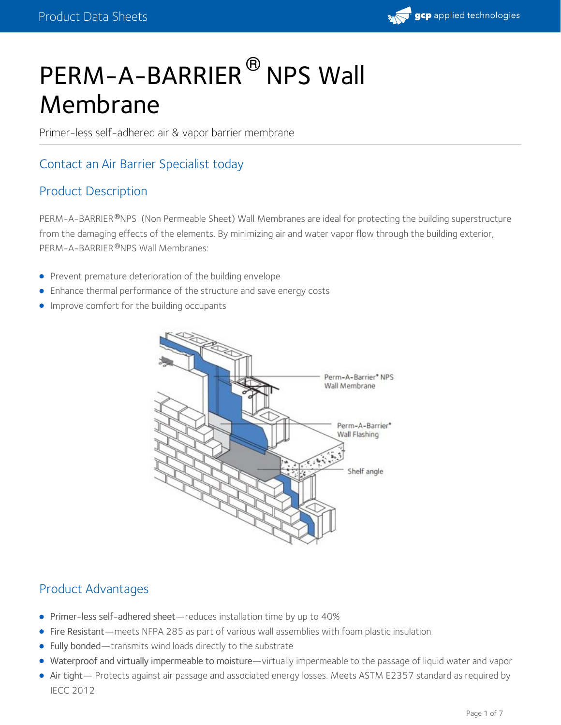

# PERM-A-BARRIER<sup>®</sup> NPS Wall Membrane

Primer-less self-adhered air & vapor barrier membrane

## Contact an Air Barrier [Specialist](http://product.gcpat.com/air-barriers/contact-us) today

## Product Description

PERM-A-BARRIER®NPS (Non Permeable Sheet) Wall Membranes are ideal for protecting the building superstructure from the damaging effects of the elements. By minimizing air and water vapor flow through the building exterior, PERM-A-BARRIER®NPS Wall Membranes:

- Prevent premature deterioration of the building [envelope](https://gcpat.com/en/about/news/blog/air-barriers-an-essential-part-building-envelope)
- Enhance thermal performance of the structure and save energy costs
- **•** Improve comfort for the building occupants



## Product Advantages

- Primer-less self-adhered sheet—reduces installation time by up to 40%
- Fire Resistant—meets NFPA 285 as part of various wall assemblies with foam plastic insulation
- Fully bonded—transmits wind loads directly to the substrate
- Waterproof and virtually impermeable to moisture—virtually impermeable to the passage of liquid water and vapor
- Air tight— Protects against air passage and associated energy losses. Meets ASTM E2357 standard as required by IECC 2012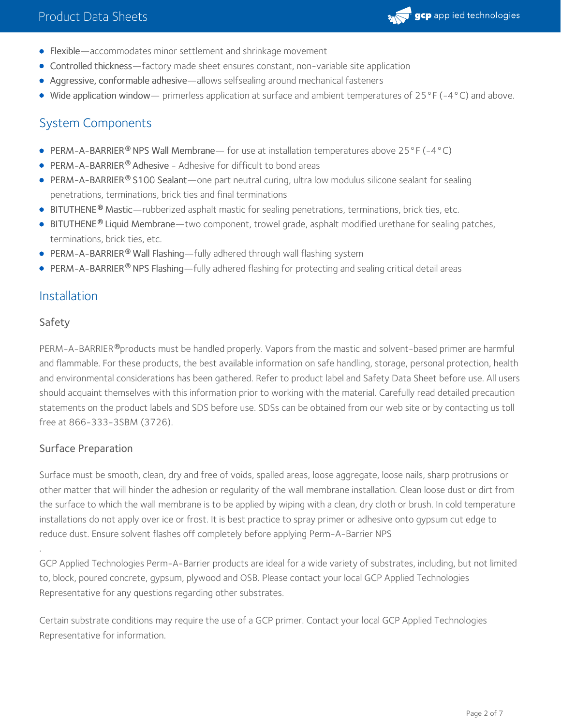

- Flexible—accommodates minor settlement and shrinkage movement
- Controlled thickness—factory made sheet ensures constant, non-variable site application
- Aggressive, conformable adhesive—allows selfsealing around mechanical fasteners
- Wide application window— primerless application at surface and ambient temperatures of 25°F (-4°C) and above.

## System Components

- PERM-A-BARRIER<sup>®</sup> NPS Wall Membrane— for use at installation temperatures above 25°F (-4°C)
- **PERM-A-BARRIER® Adhesive Adhesive for difficult to bond areas**
- [PERM-A-BARRIER](https://gcpat.com/solutions/products/perm-a-barrier-air-barrier-system/perm-a-barrier-s100-sealant)® S100 Sealant—one part neutral curing, ultra low modulus silicone sealant for sealing penetrations, terminations, brick ties and final terminations
- **[BITUTHENE](https://gcpat.com/solutions/products/bituthene-post-applied-waterproofing/bituthene-mastic)<sup>®</sup> Mastic—rubberized asphalt mastic for sealing penetrations, terminations, brick ties, etc.**
- [BITUTHENE](https://gcpat.com/solutions/products/bituthene-post-applied-waterproofing/bituthene-liquid-membrane)® Liquid Membrane—two component, trowel grade, asphalt modified urethane for sealing patches, terminations, brick ties, etc.
- [PERM-A-BARRIER](https://gcpat.com/solutions/products/perm-a-barrier-air-barrier-system/perm-a-barrier-wall-flashing) **®** Wall Flashing—fully adhered through wall flashing system
- **[PERM-A-BARRIER](https://gcpat.com/solutions/products/perm-a-barrier-air-barrier-system/perm-a-barrier-nps-wall-membrane)® NPS Flashing—fully adhered flashing for protecting and sealing critical detail areas**

### Installation

#### Safety

PERM-A-BARRIER®products must be handled properly. Vapors from the mastic and solvent-based primer are harmful and flammable. For these products, the best available information on safe handling, storage, personal protection, health and environmental considerations has been gathered. Refer to product label and Safety Data Sheet before use. All users should acquaint themselves with this information prior to working with the material. Carefully read detailed precaution statements on the product labels and SDS before use. SDSs can be obtained from our web site or by contacting us toll free at 866-333-3SBM (3726).

#### Surface Preparation

Surface must be smooth, clean, dry and free of voids, spalled areas, loose aggregate, loose nails, sharp protrusions or other matter that will hinder the adhesion or regularity of the wall membrane installation. Clean loose dust or dirt from the surface to which the wall membrane is to be applied by wiping with a clean, dry cloth or brush. In cold temperature installations do not apply over ice or frost. It is best practice to spray primer or adhesive onto gypsum cut edge to reduce dust. Ensure solvent flashes off completely before applying Perm-A-Barrier NPS

.GCP Applied Technologies Perm-A-Barrier products are ideal for <sup>a</sup> wide variety of substrates, including, but not limited to, block, poured concrete, gypsum, plywood and OSB. Please contact your local GCP Applied Technologies Representative for any questions regarding other substrates.

Certain substrate conditions may require the use of a GCP primer. Contact your local GCP Applied Technologies Representative for information.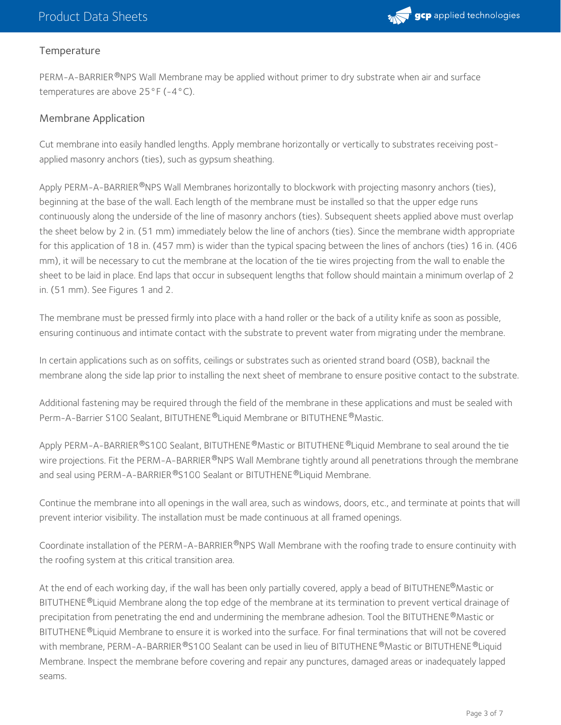

#### **Temperature**

PERM-A-BARRIER®NPS Wall Membrane may be applied without primer to dry substrate when air and surface temperatures are above 25°F (-4°C).

#### Membrane Application

Cut membrane into easily handled lengths. Apply membrane horizontally or vertically to substrates receiving postapplied masonry anchors (ties), such as gypsum sheathing.

Apply PERM-A-BARRIER®NPS Wall Membranes horizontally to blockwork with projecting masonry anchors (ties), beginning at the base of the wall. Each length of the membrane must be installed so that the upper edge runs continuously along the underside of the line of masonry anchors (ties). Subsequent sheets applied above must overlap the sheet below by 2 in. (51 mm) immediately below the line of anchors (ties). Since the membrane width appropriate for this application of 18 in. (457 mm) is wider than the typical spacing between the lines of anchors (ties) 16 in. (406 mm), it will be necessary to cut the membrane at the location of the tie wires projecting from the wall to enable the sheet to be laid in place. End laps that occur in subsequent lengths that follow should maintain a minimum overlap of 2 in. (51 mm). See Figures 1 and 2.

The membrane must be pressed firmly into place with a hand roller or the back of a utility knife as soon as possible, ensuring continuous and intimate contact with the substrate to prevent water from migrating under the membrane.

In certain applications such as on soffits, ceilings or substrates such as oriented strand board (OSB), backnail the membrane along the side lap prior to installing the next sheet of membrane to ensure positive contact to the substrate.

Additional fastening may be required through the field of the membrane in these applications and must be sealed with Perm-A-Barrier S100 Sealant, BITUTHENE®Liquid Membrane or BITUTHENE®Mastic.

Apply PERM-A-BARRIER®S100 Sealant, BITUTHENE®Mastic or BITUTHENE®Liquid Membrane to seal around the tie wire projections. Fit the PERM-A-BARRIER®NPS Wall Membrane tightly around all penetrations through the membrane and seal using PERM-A-BARRIER®S100 Sealant or BITUTHENE®Liquid Membrane.

Continue the membrane into all openings in the wall area, such as windows, doors, etc., and terminate at points that will prevent interior visibility. The installation must be made continuous at all framed openings.

Coordinate installation of the PERM-A-BARRIER®NPS Wall Membrane with the roofing trade to ensure continuity with the roofing system at this critical transition area.

At the end of each working day, if the wall has been only partially covered, apply a bead of BITUTHENE®Mastic or BITUTHENE ®Liquid Membrane along the top edge of the membrane at its termination to prevent vertical drainage of precipitation from penetrating the end and undermining the membrane adhesion. Tool the BITUTHENE  $^\circledR$ Mastic or BITUTHENE ®Liquid Membrane to ensure it is worked into the surface. For final terminations that will not be covered with membrane, PERM-A-BARRIER®S100 Sealant can be used in lieu of BITUTHENE®Mastic or BITUTHENE®Liquid Membrane. Inspect the membrane before covering and repair any punctures, damaged areas or inadequately lapped seams.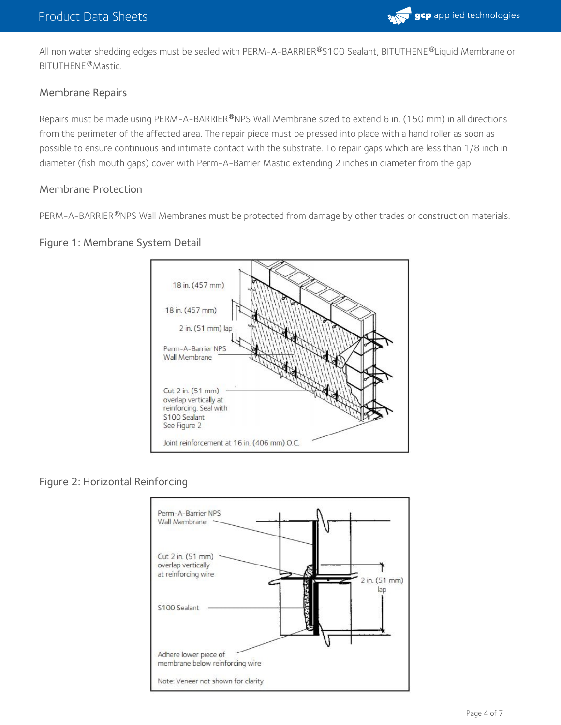

All non water shedding edges must be sealed with PERM-A-BARRIER®S100 Sealant, BITUTHENE®Liquid Membrane or BITUTHENE®Mastic.

#### Membrane Repairs

Repairs must be made using PERM-A-BARRIER®NPS Wall Membrane sized to extend 6 in. (150 mm) in all directions from the perimeter of the affected area. The repair piece must be pressed into place with a hand roller as soon as possible to ensure continuous and intimate contact with the substrate. To repair gaps which are less than 1/8 inch in diameter (fish mouth gaps) cover with Perm-A-Barrier Mastic extending 2 inches in diameter from the gap.

#### Membrane Protection

PERM-A-BARRIER®NPS Wall Membranes must be protected from damage by other trades or construction materials.

#### Figure 1: Membrane System Detail



#### Figure 2: Horizontal Reinforcing

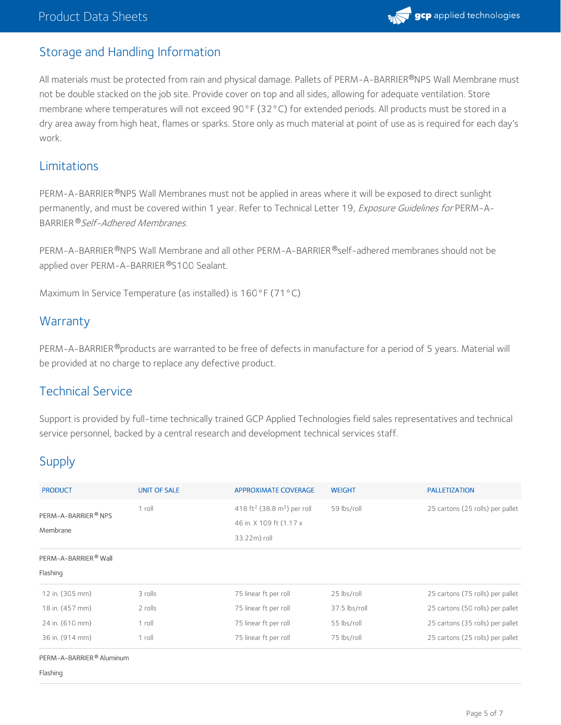## Storage and Handling Information

All materials must be protected from rain and physical damage. Pallets of PERM-A-BARRIER®NPS Wall Membrane must not be double stacked on the job site. Provide cover on top and all sides, allowing for adequate ventilation. Store membrane where temperatures will not exceed 90°F (32°C) for extended periods. All products must be stored in a dry area away from high heat, flames or sparks. Store only as much material at point of use as is required for each day's work.

## Limitations

PERM-A-BARRIER®NPS Wall Membranes must not be applied in areas where it will be exposed to direct sunlight permanently, and must be covered within 1 year. Refer to Technical Letter 19, Exposure Guidelines for PERM-A-BARRIER ®*Self-Adhered Membranes.* 

PERM-A-BARRIER®NPS Wall Membrane and all other PERM-A-BARRIER®self-adhered membranes should not be applied over PERM-A-BARRIER®S100 Sealant.

Maximum In Service Temperature (as installed) is 160°F (71°C)

## **Warranty**

PERM-A-BARRIER®products are warranted to be free of defects in manufacture for a period of 5 years. Material will be provided at no charge to replace any defective product.

## Technical Service

Support is provided by full-time technically trained GCP Applied Technologies field sales representatives and technical service personnel, backed by a central research and development technical services staff.

## Supply

| <b>PRODUCT</b>                               | <b>UNIT OF SALE</b> | <b>APPROXIMATE COVERAGE</b>                                                                     | <b>WEIGHT</b> | <b>PALLETIZATION</b>             |
|----------------------------------------------|---------------------|-------------------------------------------------------------------------------------------------|---------------|----------------------------------|
| PERM-A-BARRIER <sup>®</sup> NPS<br>Membrane  | $1$ roll            | 418 ft <sup>2</sup> (38.8 m <sup>2</sup> ) per roll<br>46 in. X 109 ft (1.17 x)<br>33.22m) roll | 59 lbs/roll   | 25 cartons (25 rolls) per pallet |
| PERM-A-BARRIER <sup>®</sup> Wall<br>Flashing |                     |                                                                                                 |               |                                  |
| 12 in. (305 mm)                              | 3 rolls             | 75 linear ft per roll                                                                           | 25 lbs/roll   | 25 cartons (75 rolls) per pallet |
| 18 in. (457 mm)                              | 2 rolls             | 75 linear ft per roll                                                                           | 37.5 lbs/roll | 25 cartons (50 rolls) per pallet |
| 24 in. (610 mm)                              | $1$ roll            | 75 linear ft per roll                                                                           | 55 lbs/roll   | 25 cartons (35 rolls) per pallet |
| 36 in. (914 mm)                              | 1 roll              | 75 linear ft per roll                                                                           | 75 lbs/roll   | 25 cartons (25 rolls) per pallet |

PERM-A-BARRIER® Aluminum

Flashing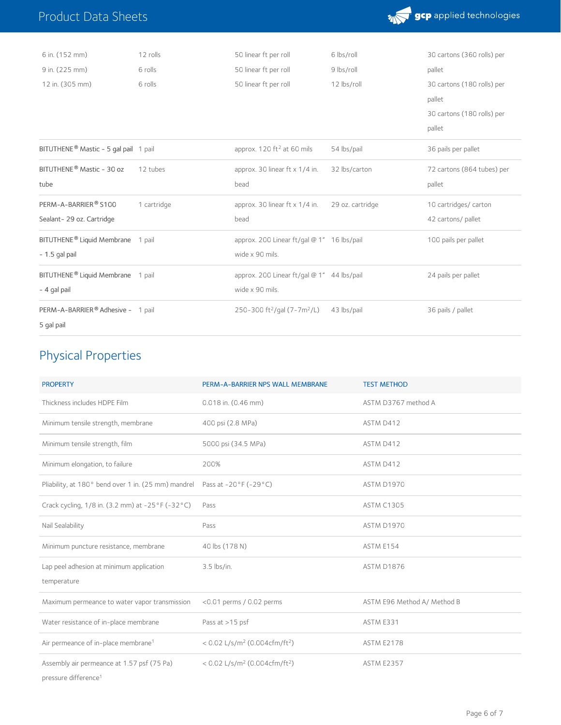

| 6 in. (152 mm)                                    | 12 rolls    | 50 linear ft per roll                               | 6 lbs/roll       | 30 cartons (360 rolls) per |
|---------------------------------------------------|-------------|-----------------------------------------------------|------------------|----------------------------|
| 9 in. (225 mm)                                    | 6 rolls     | 50 linear ft per roll                               | 9 lbs/roll       | pallet                     |
| 12 in. (305 mm)                                   | 6 rolls     | 50 linear ft per roll                               | 12 lbs/roll      | 30 cartons (180 rolls) per |
|                                                   |             |                                                     |                  | pallet                     |
|                                                   |             |                                                     |                  | 30 cartons (180 rolls) per |
|                                                   |             |                                                     |                  | pallet                     |
| BITUTHENE <sup>®</sup> Mastic - 5 gal pail 1 pail |             | approx. $120 \text{ ft}^2$ at 60 mils               | 54 lbs/pail      | 36 pails per pallet        |
| BITUTHENE <sup>®</sup> Mastic - 30 oz             | 12 tubes    | approx. 30 linear ft $x$ 1/4 in.                    | 32 lbs/carton    | 72 cartons (864 tubes) per |
| tube                                              |             | bead                                                |                  | pallet                     |
| PERM-A-BARRIER® S100                              | 1 cartridge | approx. 30 linear $ft \times 1/4$ in.               | 29 oz. cartridge | 10 cartridges/ carton      |
| Sealant-29 oz. Cartridge                          |             | bead                                                |                  | 42 cartons/ pallet         |
| BITUTHENE <sup>®</sup> Liquid Membrane 1 pail     |             | approx. 200 Linear ft/gal @ 1" 16 lbs/pail          |                  | 100 pails per pallet       |
| $-1.5$ gal pail                                   |             | wide x 90 mils.                                     |                  |                            |
| BITUTHENE <sup>®</sup> Liquid Membrane 1 pail     |             | approx. 200 Linear ft/gal @ 1" 44 lbs/pail          |                  | 24 pails per pallet        |
| - 4 gal pail                                      |             | wide x 90 mils.                                     |                  |                            |
| PERM-A-BARRIER® Adhesive - 1 pail                 |             | 250-300 ft <sup>2</sup> /gal (7-7m <sup>2</sup> /L) | 43 lbs/pail      | 36 pails / pallet          |
| 5 gal pail                                        |             |                                                     |                  |                            |
|                                                   |             |                                                     |                  |                            |

## Physical Properties

Product Data Sheets

| <b>PROPERTY</b>                                                                | PERM-A-BARRIER NPS WALL MEMBRANE                        | <b>TEST METHOD</b>          |
|--------------------------------------------------------------------------------|---------------------------------------------------------|-----------------------------|
| Thickness includes HDPE Film                                                   | $0.018$ in. $(0.46$ mm)                                 | ASTM D3767 method A         |
| Minimum tensile strength, membrane                                             | 400 psi (2.8 MPa)                                       | ASTM D412                   |
| Minimum tensile strength, film                                                 | 5000 psi (34.5 MPa)                                     | ASTM D412                   |
| Minimum elongation, to failure                                                 | 200%                                                    | ASTM D412                   |
| Pliability, at 180° bend over 1 in. (25 mm) mandrel                            | Pass at -20°F (-29°C)                                   | <b>ASTM D1970</b>           |
| Crack cycling, 1/8 in. (3.2 mm) at -25 °F (-32 °C)                             | Pass                                                    | <b>ASTM C1305</b>           |
| Nail Sealability                                                               | Pass                                                    | <b>ASTM D1970</b>           |
| Minimum puncture resistance, membrane                                          | 40 lbs (178 N)                                          | ASTM E154                   |
| Lap peel adhesion at minimum application                                       | 3.5 lbs/in.                                             | <b>ASTM D1876</b>           |
| temperature                                                                    |                                                         |                             |
| Maximum permeance to water vapor transmission                                  | $<$ 0.01 perms / 0.02 perms                             | ASTM E96 Method A/ Method B |
| Water resistance of in-place membrane                                          | Pass at >15 psf                                         | ASTM E331                   |
| Air permeance of in-place membrane <sup>1</sup>                                | < $0.02$ L/s/m <sup>2</sup> (0.004cfm/ft <sup>2</sup> ) | <b>ASTM E2178</b>           |
| Assembly air permeance at 1.57 psf (75 Pa)<br>pressure difference <sup>1</sup> | < $0.02$ L/s/m <sup>2</sup> (0.004cfm/ft <sup>2</sup> ) | <b>ASTM E2357</b>           |